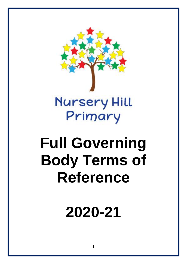

# **Full Governing Body Terms of Reference**

**2020-21**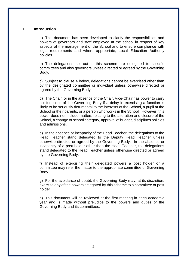#### **1 Introduction**

a) This document has been developed to clarify the responsibilities and powers of governors and staff employed at the school in respect of key aspects of the management of the School and to ensure compliance with legal requirements and where appropriate, Local Education Authority policies.

b) The delegations set out in this scheme are delegated to specific committees and also governors unless directed or agreed by the Governing Body.

c) Subject to clause 4 below, delegations cannot be exercised other than by the designated committee or individual unless otherwise directed or agreed by the Governing Body.

d) The Chair, or in the absence of the Chair, Vice-Chair has power to carry out functions of the Governing Body if a delay in exercising a function is likely to be seriously detrimental to the interests of the School, a pupil at the School or their parents, or a person who works in the School. However, this power does not include matters relating to the alteration and closure of the School, a change of school category, approval of budget, disciplines policies and admissions.

e) In the absence or incapacity of the Head Teacher, the delegations to the Head Teacher stand delegated to the Deputy Head Teacher unless otherwise directed or agreed by the Governing Body. In the absence or incapacity of a post holder other than the Head Teacher, the delegations stand delegated to the Head Teacher unless otherwise directed or agreed by the Governing Body.

f) Instead of exercising their delegated powers a post holder or a committee may refer the matter to the appropriate committee or Governing Body.

g) For the avoidance of doubt, the Governing Body may, at its discretion, exercise any of the powers delegated by this scheme to a committee or post holder

h) This document will be reviewed at the first meeting in each academic year and is made without prejudice to the powers and duties of the Governing Body and its committees.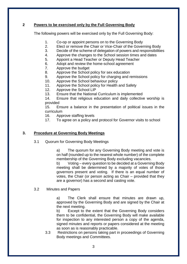## **2 Powers to be exercised only by the Full Governing Body**

The following powers will be exercised only by the Full Governing Body:

- 1. Co-op or appoint persons on to the Governing Body
- 2. Elect or remove the Chair or Vice-Chair of the Governing Body
- 3. Decide of the scheme of delegation of powers and responsibilities
- 4. Approve the changes to the School session times and dates
- 5. Appoint a Head Teacher or Deputy Head Teacher
- 6. Adopt and review the home-school agreement
- 7. Approve the budget
- 8. Approve the School policy for sex education
- 9. Approve the School policy for charging and remissions
- 10. Approve the School behaviour policy
- 11. Approve the School policy for Health and Safety
- 12. Approve the School LIP
- 13. Ensure that the National Curriculum is implemented

14. Ensure that religious education and daily collective worship is provided

15. Ensure a balance in the presentation of political issues in the curriculum

- 16. Approve staffing levels
- 17. To agree on a policy and protocol for Governor visits to school

## **3. Procedure at Governing Body Meetings**

3.1 Quorum for Governing Body Meetings

a) The quorum for any Governing Body meeting and vote is on half (rounded up to the nearest whole number) of the complete membership of the Governing Body excluding vacancies.

b) Voting – every question to be decided at a Governing Body meeting shall be determined by a majority of votes of those governors present and voting. If there is an equal number of votes, the Chair (or person acting as Chair – provided that they are a governor) has a second and casting vote.

### 3.2 Minutes and Papers

a) The Clerk shall ensure that minutes are drawn up, approved by the Governing Body and are signed by the Chair at the next meeting.

b) Except to the extent that the Governing Body considers them to be confidential, the Governing Body will make available for inspection to any interested person a copy of the agenda, signed minutes and reports or papers considered at the meeting as soon as is reasonably practicable.

3.3 Restrictions on persons taking part in proceedings of Governing Body meetings and Committees.